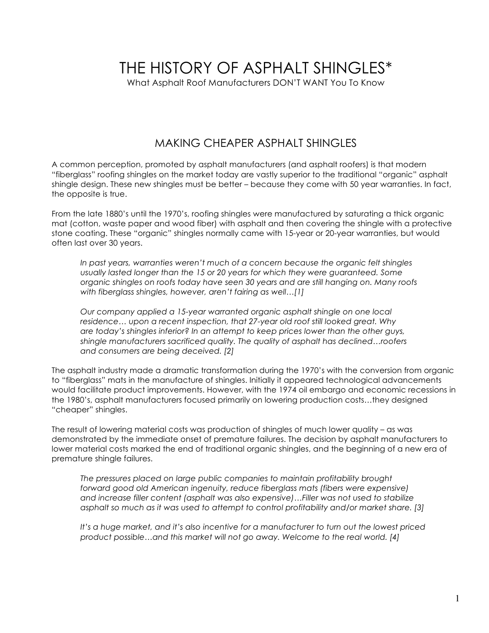# THE HISTORY OF ASPHALT SHINGLES\*

What Asphalt Roof Manufacturers DON'T WANT You To Know

### MAKING CHEAPER ASPHALT SHINGLES

A common perception, promoted by asphalt manufacturers (and asphalt roofers) is that modern "fiberglass" roofing shingles on the market today are vastly superior to the traditional "organic" asphalt shingle design. These new shingles must be better – because they come with 50 year warranties. In fact, the opposite is true.

From the late 1880's until the 1970's, roofing shingles were manufactured by saturating a thick organic mat (cotton, waste paper and wood fiber) with asphalt and then covering the shingle with a protective stone coating. These "organic" shingles normally came with 15-year or 20-year warranties, but would often last over 30 years.

*In past years, warranties weren't much of a concern because the organic felt shingles usually lasted longer than the 15 or 20 years for which they were guaranteed. Some organic shingles on roofs today have seen 30 years and are still hanging on. Many roofs with fiberglass shingles, however, aren't fairing as well…[1]*

*Our company applied a 15-year warranted organic asphalt shingle on one local residence… upon a recent inspection, that 27-year old roof still looked great. Why are today's shingles inferior? In an attempt to keep prices lower than the other guys, shingle manufacturers sacrificed quality. The quality of asphalt has declined…roofers and consumers are being deceived. [2]*

The asphalt industry made a dramatic transformation during the 1970's with the conversion from organic to "fiberglass" mats in the manufacture of shingles. Initially it appeared technological advancements would facilitate product improvements. However, with the 1974 oil embargo and economic recessions in the 1980's, asphalt manufacturers focused primarily on lowering production costs…they designed "cheaper" shingles.

The result of lowering material costs was production of shingles of much lower quality – as was demonstrated by the immediate onset of premature failures. The decision by asphalt manufacturers to lower material costs marked the end of traditional organic shingles, and the beginning of a new era of premature shingle failures.

*The pressures placed on large public companies to maintain profitability brought forward good old American ingenuity, reduce fiberglass mats (fibers were expensive) and increase filler content (asphalt was also expensive)…Filler was not used to stabilize asphalt so much as it was used to attempt to control profitability and/or market share. [3]*

*It's a huge market, and it's also incentive for a manufacturer to turn out the lowest priced product possible…and this market will not go away. Welcome to the real world. [4]*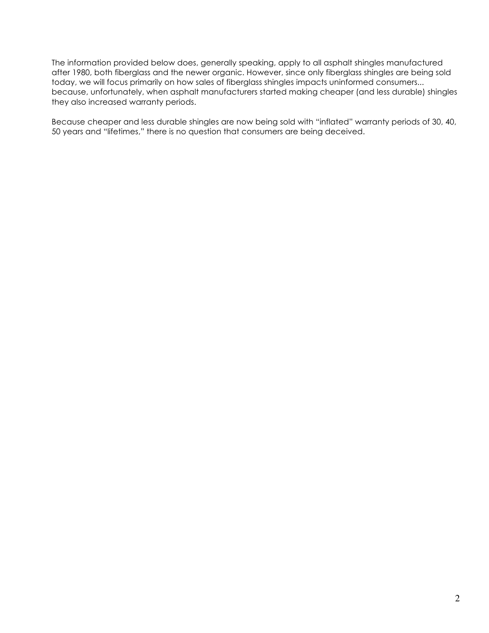The information provided below does, generally speaking, apply to all asphalt shingles manufactured after 1980, both fiberglass and the newer organic. However, since only fiberglass shingles are being sold today, we will focus primarily on how sales of fiberglass shingles impacts uninformed consumers... because, unfortunately, when asphalt manufacturers started making cheaper (and less durable) shingles they also increased warranty periods.

Because cheaper and less durable shingles are now being sold with "inflated" warranty periods of 30, 40, 50 years and "lifetimes," there is no question that consumers are being deceived.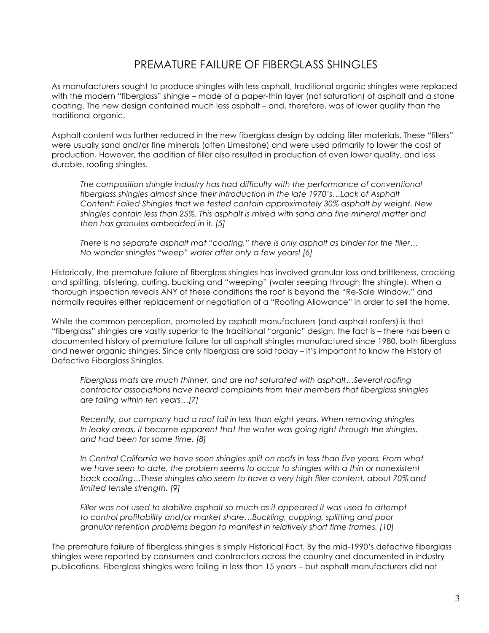### PREMATURE FAILURE OF FIBERGLASS SHINGLES

As manufacturers sought to produce shingles with less asphalt, traditional organic shingles were replaced with the modern "fiberglass" shingle – made of a paper-thin layer (not saturation) of asphalt and a stone coating. The new design contained much less asphalt – and, therefore, was of lower quality than the traditional organic.

Asphalt content was further reduced in the new fiberglass design by adding filler materials. These "fillers" were usually sand and/or fine minerals (often Limestone) and were used primarily to lower the cost of production. However, the addition of filler also resulted in production of even lower quality, and less durable, roofing shingles.

*The composition shingle industry has had difficulty with the performance of conventional fiberglass shingles almost since their introduction in the late 1970's…Lack of Asphalt Content: Failed Shingles that we tested contain approximately 30% asphalt by weight. New shingles contain less than 25%. This asphalt is mixed with sand and fine mineral matter and then has granules embedded in it. [5]*

*There is no separate asphalt mat "coating," there is only asphalt as binder for the filler… No wonder shingles "weep" water after only a few years! [6]*

Historically, the premature failure of fiberglass shingles has involved granular loss and brittleness, cracking and splitting, blistering, curling, buckling and "weeping" (water seeping through the shingle). When a thorough inspection reveals ANY of these conditions the roof is beyond the "Re-Sale Window," and normally requires either replacement or negotiation of a "Roofing Allowance" in order to sell the home.

While the common perception, promoted by asphalt manufacturers (and asphalt roofers) is that "fiberglass" shingles are vastly superior to the traditional "organic" design, the fact is – there has been a documented history of premature failure for all asphalt shingles manufactured since 1980, both fiberglass and newer organic shingles. Since only fiberglass are sold today – it's important to know the History of Defective Fiberglass Shingles.

*Fiberglass mats are much thinner, and are not saturated with asphalt…Several roofing contractor associations have heard complaints from their members that fiberglass shingles are failing within ten years…[7]*

*Recently, our company had a roof fail in less than eight years. When removing shingles In leaky areas, it became apparent that the water was going right through the shingles, and had been for some time. [8]*

*In Central California we have seen shingles split on roofs in less than five years. From what we have seen to date, the problem seems to occur to shingles with a thin or nonexistent back coating…These shingles also seem to have a very high filler content, about 70% and limited tensile strength. [9]*

*Filler was not used to stabilize asphalt so much as it appeared it was used to attempt to control profitability and/or market share…Buckling, cupping, splitting and poor granular retention problems began to manifest in relatively short time frames. [10]*

The premature failure of fiberglass shingles is simply Historical Fact. By the mid-1990's defective fiberglass shingles were reported by consumers and contractors across the country and documented in industry publications. Fiberglass shingles were failing in less than 15 years – but asphalt manufacturers did not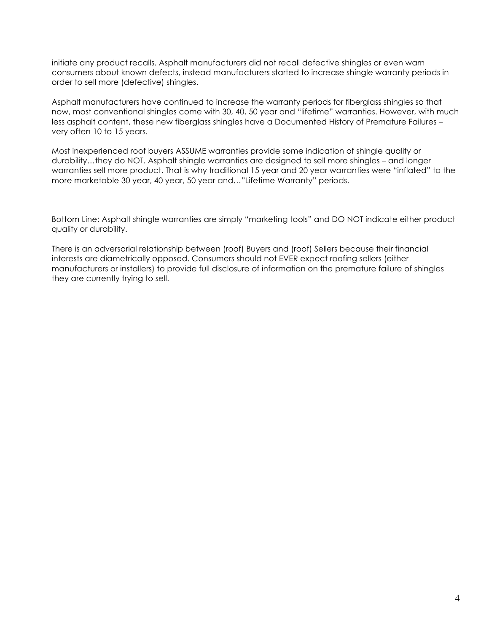initiate any product recalls. Asphalt manufacturers did not recall defective shingles or even warn consumers about known defects, instead manufacturers started to increase shingle warranty periods in order to sell more (defective) shingles.

Asphalt manufacturers have continued to increase the warranty periods for fiberglass shingles so that now, most conventional shingles come with 30, 40, 50 year and "lifetime" warranties. However, with much less asphalt content, these new fiberglass shingles have a Documented History of Premature Failures – very often 10 to 15 years.

Most inexperienced roof buyers ASSUME warranties provide some indication of shingle quality or durability…they do NOT. Asphalt shingle warranties are designed to sell more shingles – and longer warranties sell more product. That is why traditional 15 year and 20 year warranties were "inflated" to the more marketable 30 year, 40 year, 50 year and…"Lifetime Warranty" periods.

Bottom Line: Asphalt shingle warranties are simply "marketing tools" and DO NOT indicate either product quality or durability.

There is an adversarial relationship between (roof) Buyers and (roof) Sellers because their financial interests are diametrically opposed. Consumers should not EVER expect roofing sellers (either manufacturers or installers) to provide full disclosure of information on the premature failure of shingles they are currently trying to sell.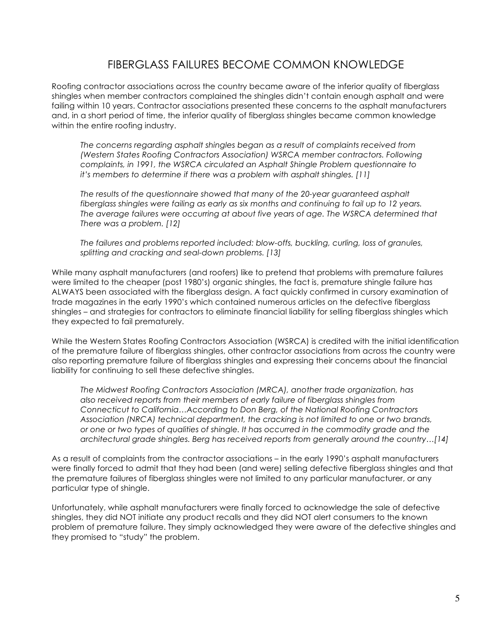### FIBERGLASS FAILURES BECOME COMMON KNOWLEDGE

Roofing contractor associations across the country became aware of the inferior quality of fiberglass shingles when member contractors complained the shingles didn't contain enough asphalt and were failing within 10 years. Contractor associations presented these concerns to the asphalt manufacturers and, in a short period of time, the inferior quality of fiberglass shingles became common knowledge within the entire roofing industry.

*The concerns regarding asphalt shingles began as a result of complaints received from (Western States Roofing Contractors Association) WSRCA member contractors. Following complaints, in 1991, the WSRCA circulated an Asphalt Shingle Problem questionnaire to it's members to determine if there was a problem with asphalt shingles. [11]*

*The results of the questionnaire showed that many of the 20-year guaranteed asphalt fiberglass shingles were failing as early as six months and continuing to fail up to 12 years. The average failures were occurring at about five years of age. The WSRCA determined that There was a problem. [12]*

*The failures and problems reported included: blow-offs, buckling, curling, loss of granules, splitting and cracking and seal-down problems. [13]*

While many asphalt manufacturers (and roofers) like to pretend that problems with premature failures were limited to the cheaper (post 1980's) organic shingles, the fact is, premature shingle failure has ALWAYS been associated with the fiberglass design. A fact quickly confirmed in cursory examination of trade magazines in the early 1990's which contained numerous articles on the defective fiberglass shingles – and strategies for contractors to eliminate financial liability for selling fiberglass shingles which they expected to fail prematurely.

While the Western States Roofing Contractors Association (WSRCA) is credited with the initial identification of the premature failure of fiberglass shingles, other contractor associations from across the country were also reporting premature failure of fiberglass shingles and expressing their concerns about the financial liability for continuing to sell these defective shingles.

*The Midwest Roofing Contractors Association (MRCA), another trade organization, has also received reports from their members of early failure of fiberglass shingles from Connecticut to California…According to Don Berg, of the National Roofing Contractors Association (NRCA) technical department, the cracking is not limited to one or two brands, or one or two types of qualities of shingle. It has occurred in the commodity grade and the architectural grade shingles. Berg has received reports from generally around the country…[14]*

As a result of complaints from the contractor associations – in the early 1990's asphalt manufacturers were finally forced to admit that they had been (and were) selling defective fiberglass shingles and that the premature failures of fiberglass shingles were not limited to any particular manufacturer, or any particular type of shingle.

Unfortunately, while asphalt manufacturers were finally forced to acknowledge the sale of defective shingles, they did NOT initiate any product recalls and they did NOT alert consumers to the known problem of premature failure. They simply acknowledged they were aware of the defective shingles and they promised to "study" the problem.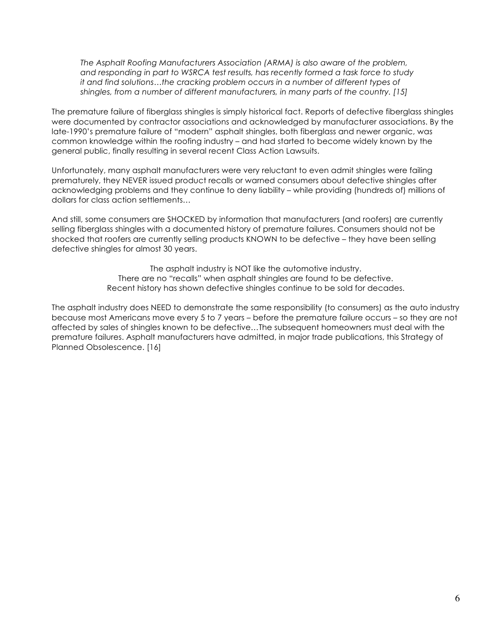*The Asphalt Roofing Manufacturers Association (ARMA) is also aware of the problem, and responding in part to WSRCA test results, has recently formed a task force to study it and find solutions…the cracking problem occurs in a number of different types of shingles, from a number of different manufacturers, in many parts of the country. [15]*

The premature failure of fiberglass shingles is simply historical fact. Reports of defective fiberglass shingles were documented by contractor associations and acknowledged by manufacturer associations. By the late-1990's premature failure of "modern" asphalt shingles, both fiberglass and newer organic, was common knowledge within the roofing industry – and had started to become widely known by the general public, finally resulting in several recent Class Action Lawsuits.

Unfortunately, many asphalt manufacturers were very reluctant to even admit shingles were failing prematurely, they NEVER issued product recalls or warned consumers about defective shingles after acknowledging problems and they continue to deny liability – while providing (hundreds of) millions of dollars for class action settlements…

And still, some consumers are SHOCKED by information that manufacturers (and roofers) are currently selling fiberglass shingles with a documented history of premature failures. Consumers should not be shocked that roofers are currently selling products KNOWN to be defective – they have been selling defective shingles for almost 30 years.

> The asphalt industry is NOT like the automotive industry. There are no "recalls" when asphalt shingles are found to be defective. Recent history has shown defective shingles continue to be sold for decades.

The asphalt industry does NEED to demonstrate the same responsibility (to consumers) as the auto industry because most Americans move every 5 to 7 years – before the premature failure occurs – so they are not affected by sales of shingles known to be defective…The subsequent homeowners must deal with the premature failures. Asphalt manufacturers have admitted, in major trade publications, this Strategy of Planned Obsolescence. [16]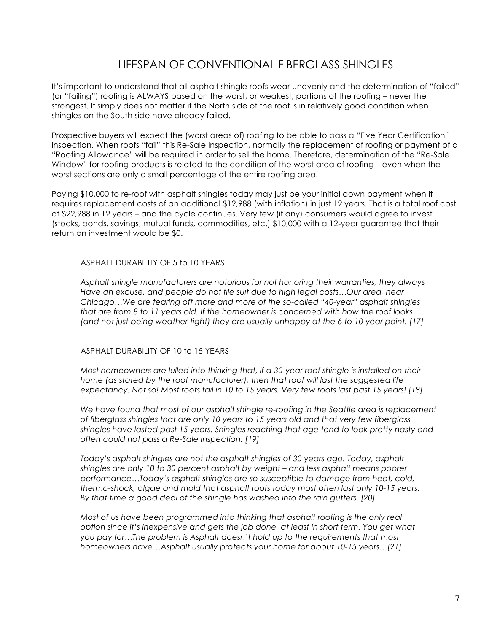### LIFESPAN OF CONVENTIONAL FIBERGLASS SHINGLES

It's important to understand that all asphalt shingle roofs wear unevenly and the determination of "failed" (or "failing") roofing is ALWAYS based on the worst, or weakest, portions of the roofing – never the strongest. It simply does not matter if the North side of the roof is in relatively good condition when shingles on the South side have already failed.

Prospective buyers will expect the (worst areas of) roofing to be able to pass a "Five Year Certification" inspection. When roofs "fail" this Re-Sale Inspection, normally the replacement of roofing or payment of a "Roofing Allowance" will be required in order to sell the home. Therefore, determination of the "Re-Sale Window" for roofing products is related to the condition of the worst area of roofing – even when the worst sections are only a small percentage of the entire roofing area.

Paying \$10,000 to re-roof with asphalt shingles today may just be your initial down payment when it requires replacement costs of an additional \$12,988 (with inflation) in just 12 years. That is a total roof cost of \$22,988 in 12 years – and the cycle continues. Very few (if any) consumers would agree to invest (stocks, bonds, savings, mutual funds, commodities, etc.) \$10,000 with a 12-year guarantee that their return on investment would be \$0.

#### ASPHALT DURABILITY OF 5 to 10 YEARS

*Asphalt shingle manufacturers are notorious for not honoring their warranties, they always Have an excuse, and people do not file suit due to high legal costs…Our area, near Chicago…We are tearing off more and more of the so-called "40-year" asphalt shingles that are from 8 to 11 years old. If the homeowner is concerned with how the roof looks (and not just being weather tight) they are usually unhappy at the 6 to 10 year point. [17]*

#### ASPHALT DURABILITY OF 10 to 15 YEARS

*Most homeowners are lulled into thinking that, if a 30-year roof shingle is installed on their home (as stated by the roof manufacturer), then that roof will last the suggested life expectancy. Not so! Most roofs fail in 10 to 15 years. Very few roofs last past 15 years! [18]*

*We have found that most of our asphalt shingle re-roofing in the Seattle area is replacement of fiberglass shingles that are only 10 years to 15 years old and that very few fiberglass shingles have lasted past 15 years. Shingles reaching that age tend to look pretty nasty and often could not pass a Re-Sale Inspection. [19]*

*Today's asphalt shingles are not the asphalt shingles of 30 years ago. Today, asphalt shingles are only 10 to 30 percent asphalt by weight – and less asphalt means poorer performance…Today's asphalt shingles are so susceptible to damage from heat, cold, thermo-shock, algae and mold that asphalt roofs today most often last only 10-15 years. By that time a good deal of the shingle has washed into the rain gutters. [20]*

*Most of us have been programmed into thinking that asphalt roofing is the only real option since it's inexpensive and gets the job done, at least in short term. You get what you pay for…The problem is Asphalt doesn't hold up to the requirements that most homeowners have…Asphalt usually protects your home for about 10-15 years…[21]*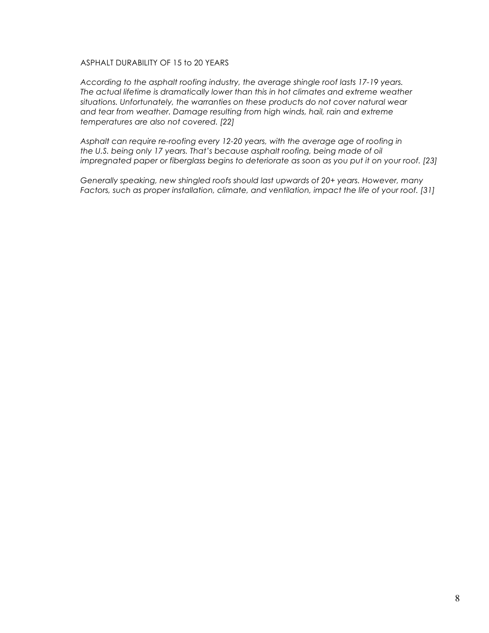#### ASPHALT DURABILITY OF 15 to 20 YEARS

*According to the asphalt roofing industry, the average shingle roof lasts 17-19 years. The actual lifetime is dramatically lower than this in hot climates and extreme weather situations. Unfortunately, the warranties on these products do not cover natural wear and tear from weather. Damage resulting from high winds, hail, rain and extreme temperatures are also not covered. [22]*

*Asphalt can require re-roofing every 12-20 years, with the average age of roofing in the U.S. being only 17 years. That's because asphalt roofing, being made of oil impregnated paper or fiberglass begins to deteriorate as soon as you put it on your roof. [23]*

*Generally speaking, new shingled roofs should last upwards of 20+ years. However, many Factors, such as proper installation, climate, and ventilation, impact the life of your roof. [31]*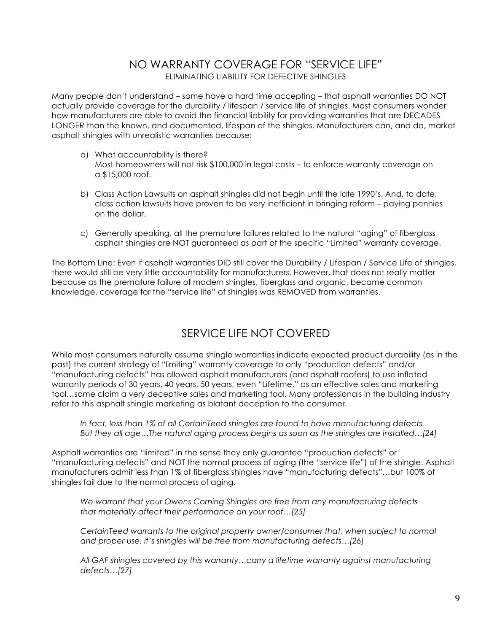### NO WARRANTY COVERAGE FOR "SERVICE LIFE" ELIMINATING LIABILITY FOR DEFECTIVE SHINGLES

Many people don't understand – some have a hard time accepting – that asphalt warranties DO NOT actually provide coverage for the durability / lifespan / service life of shingles. Most consumers wonder how manufacturers are able to avoid the financial liability for providing warranties that are DECADES LONGER than the known, and documented, lifespan of the shingles. Manufacturers can, and do, market asphalt shingles with unrealistic warranties because:

- a) What accountability is there? Most homeowners will not risk \$100,000 in legal costs – to enforce warranty coverage on a \$15,000 roof.
- b) Class Action Lawsuits on asphalt shingles did not begin until the late 1990's. And, to date, class action lawsuits have proven to be very inefficient in bringing reform – paying pennies on the dollar.
- c) Generally speaking, all the premature failures related to the natural "aging" of fiberglass asphalt shingles are NOT guaranteed as part of the specific "Limited" warranty coverage.

The Bottom Line: Even if asphalt warranties DID still cover the Durability / Lifespan / Service Life of shingles, there would still be very little accountability for manufacturers. However, that does not really matter because as the premature failure of modern shingles, fiberglass and organic, became common knowledge, coverage for the "service life" of shingles was REMOVED from warranties.

## SERVICE LIFE NOT COVERED

While most consumers naturally assume shingle warranties indicate expected product durability (as in the past) the current strategy of "limiting" warranty coverage to only "production defects" and/or "manufacturing defects" has allowed asphalt manufacturers (and asphalt roofers) to use inflated warranty periods of 30 years, 40 years, 50 years, even "Lifetime," as an effective sales and marketing tool…some claim a very deceptive sales and marketing tool. Many professionals in the building industry refer to this asphalt shingle marketing as blatant deception to the consumer.

*In fact, less than 1% of all CertainTeed shingles are found to have manufacturing defects. But they all age…The natural aging process begins as soon as the shingles are installed…[24]*

Asphalt warranties are "limited" in the sense they only guarantee "production defects" or "manufacturing defects" and NOT the normal process of aging (the "service life") of the shingle. Asphalt manufacturers admit less than 1% of fiberglass shingles have "manufacturing defects"…but 100% of shingles fail due to the normal process of aging.

*We warrant that your Owens Corning Shingles are free from any manufacturing defects that materially affect their performance on your roof…[25]*

*CertainTeed warrants to the original property owner/consumer that, when subject to normal and proper use, it's shingles will be free from manufacturing defects…[26]*

*All GAF shingles covered by this warranty…carry a lifetime warranty against manufacturing defects…[27]*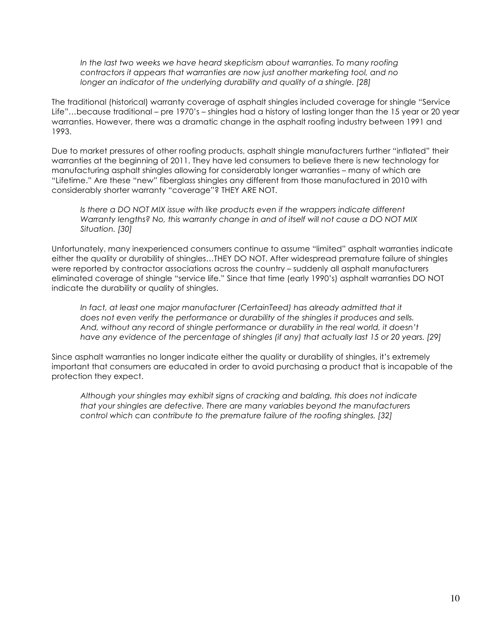*In the last two weeks we have heard skepticism about warranties. To many roofing contractors it appears that warranties are now just another marketing tool, and no longer an indicator of the underlying durability and quality of a shingle. [28]*

The traditional (historical) warranty coverage of asphalt shingles included coverage for shingle "Service Life"…because traditional – pre 1970's – shingles had a history of lasting longer than the 15 year or 20 year warranties. However, there was a dramatic change in the asphalt roofing industry between 1991 and 1993.

Due to market pressures of other roofing products, asphalt shingle manufacturers further "inflated" their warranties at the beginning of 2011. They have led consumers to believe there is new technology for manufacturing asphalt shingles allowing for considerably longer warranties – many of which are "Lifetime." Are these "new" fiberglass shingles any different from those manufactured in 2010 with considerably shorter warranty "coverage"? THEY ARE NOT.

*Is there a DO NOT MIX issue with like products even if the wrappers indicate different Warranty lengths? No, this warranty change in and of itself will not cause a DO NOT MIX Situation. [30]*

Unfortunately, many inexperienced consumers continue to assume "limited" asphalt warranties indicate either the quality or durability of shingles…THEY DO NOT. After widespread premature failure of shingles were reported by contractor associations across the country – suddenly all asphalt manufacturers eliminated coverage of shingle "service life." Since that time (early 1990's) asphalt warranties DO NOT indicate the durability or quality of shingles.

*In fact, at least one major manufacturer (CertainTeed) has already admitted that it does not even verify the performance or durability of the shingles it produces and sells. And, without any record of shingle performance or durability in the real world, it doesn't have any evidence of the percentage of shingles (if any) that actually last 15 or 20 years. [29]*

Since asphalt warranties no longer indicate either the quality or durability of shingles, it's extremely important that consumers are educated in order to avoid purchasing a product that is incapable of the protection they expect.

*Although your shingles may exhibit signs of cracking and balding, this does not indicate that your shingles are defective. There are many variables beyond the manufacturers control which can contribute to the premature failure of the roofing shingles. [32]*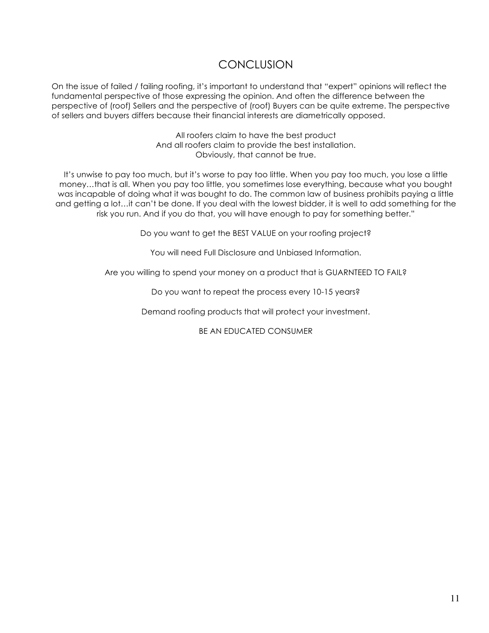## **CONCLUSION**

On the issue of failed / failing roofing, it's important to understand that "expert" opinions will reflect the fundamental perspective of those expressing the opinion. And often the difference between the perspective of (roof) Sellers and the perspective of (roof) Buyers can be quite extreme. The perspective of sellers and buyers differs because their financial interests are diametrically opposed.

> All roofers claim to have the best product And all roofers claim to provide the best installation. Obviously, that cannot be true.

It's unwise to pay too much, but it's worse to pay too little. When you pay too much, you lose a little money…that is all. When you pay too little, you sometimes lose everything, because what you bought was incapable of doing what it was bought to do. The common law of business prohibits paying a little and getting a lot…it can't be done. If you deal with the lowest bidder, it is well to add something for the risk you run. And if you do that, you will have enough to pay for something better."

Do you want to get the BEST VALUE on your roofing project?

You will need Full Disclosure and Unbiased Information.

Are you willing to spend your money on a product that is GUARNTEED TO FAIL?

Do you want to repeat the process every 10-15 years?

Demand roofing products that will protect your investment.

BE AN EDUCATED CONSUMER